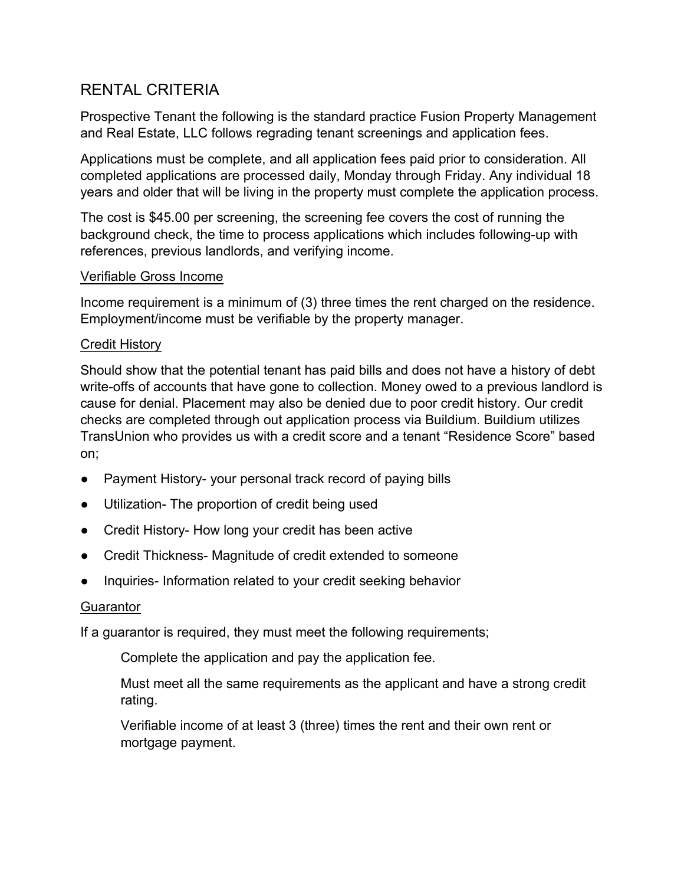# RENTAL CRITERIA

Prospective Tenant the following is the standard practice Fusion Property Management and Real Estate, LLC follows regrading tenant screenings and application fees.

Applications must be complete, and all application fees paid prior to consideration. All completed applications are processed daily, Monday through Friday. Any individual 18 years and older that will be living in the property must complete the application process.

The cost is \$45.00 per screening, the screening fee covers the cost of running the background check, the time to process applications which includes following-up with references, previous landlords, and verifying income.

## Verifiable Gross Income

Income requirement is a minimum of (3) three times the rent charged on the residence. Employment/income must be verifiable by the property manager.

## Credit History

Should show that the potential tenant has paid bills and does not have a history of debt write-offs of accounts that have gone to collection. Money owed to a previous landlord is cause for denial. Placement may also be denied due to poor credit history. Our credit checks are completed through out application process via Buildium. Buildium utilizes TransUnion who provides us with a credit score and a tenant "Residence Score" based on;

- Payment History- your personal track record of paying bills
- Utilization- The proportion of credit being used
- Credit History- How long your credit has been active
- Credit Thickness- Magnitude of credit extended to someone
- Inquiries- Information related to your credit seeking behavior

## **Guarantor**

If a guarantor is required, they must meet the following requirements;

Complete the application and pay the application fee.

Must meet all the same requirements as the applicant and have a strong credit rating.

Verifiable income of at least 3 (three) times the rent and their own rent or mortgage payment.